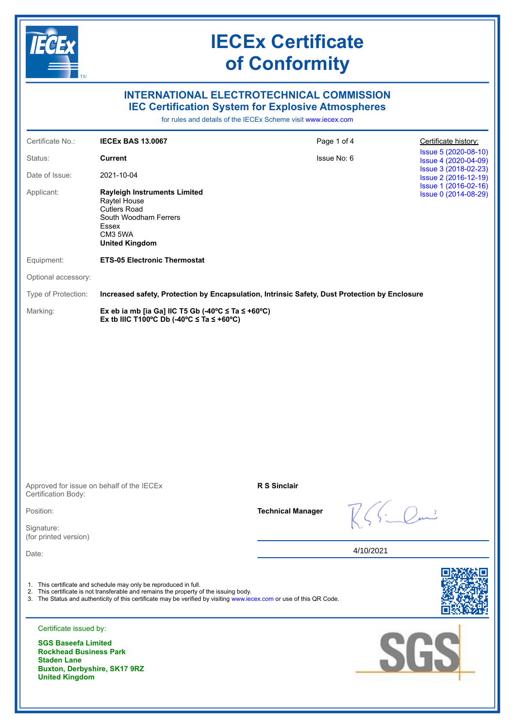|                                                                                                                                            | <b>IECEx Certificate</b><br>of Conformity                                                                                                                                                                                                                                         |                          |           |                                              |  |  |  |
|--------------------------------------------------------------------------------------------------------------------------------------------|-----------------------------------------------------------------------------------------------------------------------------------------------------------------------------------------------------------------------------------------------------------------------------------|--------------------------|-----------|----------------------------------------------|--|--|--|
|                                                                                                                                            | <b>INTERNATIONAL ELECTROTECHNICAL COMMISSION</b><br><b>IEC Certification System for Explosive Atmospheres</b><br>for rules and details of the IECEx Scheme visit www.jecex.com                                                                                                    |                          |           |                                              |  |  |  |
| Certificate No.:                                                                                                                           | <b>IECEX BAS 13,0067</b>                                                                                                                                                                                                                                                          | Page 1 of 4              |           | Certificate history:                         |  |  |  |
| Status:                                                                                                                                    | <b>Current</b>                                                                                                                                                                                                                                                                    | Issue No: 6              |           | Issue 5 (2020-08-10)<br>Issue 4 (2020-04-09) |  |  |  |
| Date of Issue:                                                                                                                             | 2021-10-04                                                                                                                                                                                                                                                                        |                          |           | Issue 3 (2018-02-23)<br>Issue 2 (2016-12-19) |  |  |  |
| Applicant:                                                                                                                                 | <b>Rayleigh Instruments Limited</b><br>Raytel House<br><b>Cutlers Road</b><br>South Woodham Ferrers<br>Essex<br>CM3 5WA<br><b>United Kingdom</b>                                                                                                                                  |                          |           | Issue 1 (2016-02-16)<br>Issue 0 (2014-08-29) |  |  |  |
| Equipment:                                                                                                                                 | <b>ETS-05 Electronic Thermostat</b>                                                                                                                                                                                                                                               |                          |           |                                              |  |  |  |
| Optional accessory:                                                                                                                        |                                                                                                                                                                                                                                                                                   |                          |           |                                              |  |  |  |
| Type of Protection:                                                                                                                        | Increased safety, Protection by Encapsulation, Intrinsic Safety, Dust Protection by Enclosure                                                                                                                                                                                     |                          |           |                                              |  |  |  |
| Marking:                                                                                                                                   | Ex eb ia mb [ia Ga] IIC T5 Gb (-40°C $\leq$ Ta $\leq$ +60°C)<br>Ex tb IIIC T100°C Db (-40°C $\leq$ Ta $\leq$ +60°C)                                                                                                                                                               |                          |           |                                              |  |  |  |
|                                                                                                                                            |                                                                                                                                                                                                                                                                                   |                          |           |                                              |  |  |  |
| Certification Body:                                                                                                                        | Approved for issue on behalf of the IECEx                                                                                                                                                                                                                                         | <b>R S Sinclair</b>      |           |                                              |  |  |  |
| Position:                                                                                                                                  |                                                                                                                                                                                                                                                                                   | <b>Technical Manager</b> |           |                                              |  |  |  |
| Signature:<br>(for printed version)                                                                                                        |                                                                                                                                                                                                                                                                                   |                          |           |                                              |  |  |  |
| Date:                                                                                                                                      |                                                                                                                                                                                                                                                                                   |                          | 4/10/2021 |                                              |  |  |  |
|                                                                                                                                            | 1. This certificate and schedule may only be reproduced in full.<br>2. This certificate is not transferable and remains the property of the issuing body.<br>3. The Status and authenticity of this certificate may be verified by visiting www.iecex.com or use of this QR Code. |                          |           |                                              |  |  |  |
| Certificate issued by:                                                                                                                     |                                                                                                                                                                                                                                                                                   |                          |           |                                              |  |  |  |
| <b>SGS Baseefa Limited</b><br><b>Rockhead Business Park</b><br><b>Staden Lane</b><br>Buxton, Derbyshire, SK17 9RZ<br><b>United Kingdom</b> |                                                                                                                                                                                                                                                                                   |                          |           | SGS                                          |  |  |  |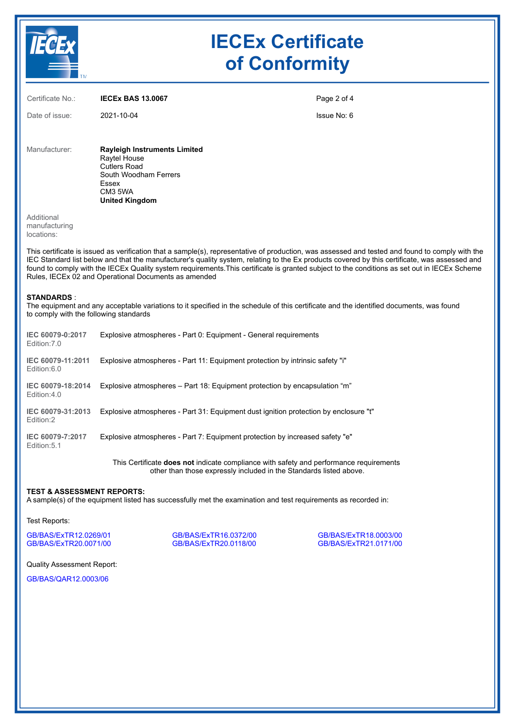

# **IECEx Certificate of Conformity**

Certificate No.: **IECEx BAS 13.0067** Date of issue: 2021-10-04 Page 2 of 4 Issue No: 6 Manufacturer: **Rayleigh Instruments Limited** Raytel House

Cutlers Road South Woodham Ferrers Essex CM3 5WA **United Kingdom**

Additional manufacturing locations:

This certificate is issued as verification that a sample(s), representative of production, was assessed and tested and found to comply with the IEC Standard list below and that the manufacturer's quality system, relating to the Ex products covered by this certificate, was assessed and found to comply with the IECEx Quality system requirements.This certificate is granted subject to the conditions as set out in IECEx Scheme Rules, IECEx 02 and Operational Documents as amended

### **STANDARDS** :

The equipment and any acceptable variations to it specified in the schedule of this certificate and the identified documents, was found to comply with the following standards

| IEC 60079-0:2017<br>Fdition: 7.0  | Explosive atmospheres - Part 0: Equipment - General requirements                     |
|-----------------------------------|--------------------------------------------------------------------------------------|
| IEC 60079-11:2011<br>Edition:6.0  | Explosive atmospheres - Part 11: Equipment protection by intrinsic safety "i"        |
| IEC 60079-18:2014<br>Edition: 4.0 | Explosive atmospheres – Part 18: Equipment protection by encapsulation "m"           |
| IEC 60079-31:2013<br>Fdition:2    | Explosive atmospheres - Part 31: Equipment dust ignition protection by enclosure "t" |
| IEC 60079-7:2017<br>Edition: 5.1  | Explosive atmospheres - Part 7: Equipment protection by increased safety "e"         |

This Certificate **does not** indicate compliance with safety and performance requirements other than those expressly included in the Standards listed above.

## **TEST & ASSESSMENT REPORTS:**

A sample(s) of the equipment listed has successfully met the examination and test requirements as recorded in:

Test Reports:

GB/BAS/ExTR12.0269/01 GB/BAS/ExTR16.0372/00 GB/BAS/ExTR18.0003/00

GB/BAS/ExTR20.0118/00

Quality Assessment Report:

GB/BAS/QAR12.0003/06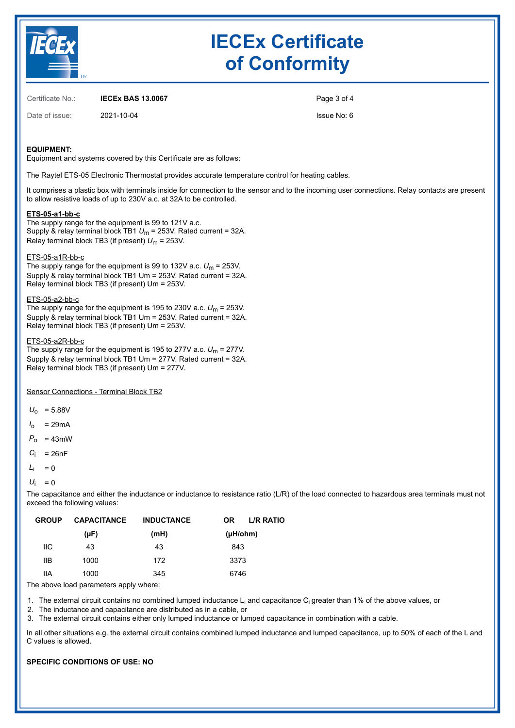

# **IECEx Certificate of Conformity**

Certificate No.: **IECEx BAS 13.0067**

Date of issue: 2021-10-04

Page 3 of 4 Issue No: 6

# **EQUIPMENT:**

Equipment and systems covered by this Certificate are as follows:

The Raytel ETS-05 Electronic Thermostat provides accurate temperature control for heating cables.

It comprises a plastic box with terminals inside for connection to the sensor and to the incoming user connections. Relay contacts are present to allow resistive loads of up to 230V a.c. at 32A to be controlled.

### **ETS-05-a1-bb-c**

The supply range for the equipment is 99 to 121V a.c. Supply & relay terminal block TB1 *U*m = 253V. Rated current = 32A. Relay terminal block TB3 (if present) *U*m = 253V.

# ETS-05-a1R-bb-c

The supply range for the equipment is 99 to 132V a.c.  $U_m$  = 253V. Supply & relay terminal block TB1 Um = 253V. Rated current = 32A. Relay terminal block TB3 (if present) Um = 253V.

### ETS-05-a2-bb-c

The supply range for the equipment is 195 to 230V a.c.  $U_m = 253V$ . Supply & relay terminal block TB1 Um = 253V. Rated current = 32A. Relay terminal block TB3 (if present) Um = 253V.

#### ETS-05-a2R-bb-c

The supply range for the equipment is 195 to 277V a.c.  $U_m = 277V$ . Supply & relay terminal block TB1 Um = 277V. Rated current = 32A. Relay terminal block TB3 (if present) Um = 277V.

Sensor Connections - Terminal Block TB2

 $U_0$  = 5.88V

- $I_0$  = 29mA
- $P_0$  = 43mW
- $C_i$  = 26nF
- $L_i = 0$
- $U_i = 0$

The capacitance and either the inductance or inductance to resistance ratio (L/R) of the load connected to hazardous area terminals must not exceed the following values:

| <b>GROUP</b> | <b>CAPACITANCE</b> | <b>INDUCTANCE</b> | <b>OR</b>     | L/R RATIO |
|--------------|--------------------|-------------------|---------------|-----------|
|              | $(\mu F)$          | (mH)              | $(\mu H/ohm)$ |           |
| ШC           | 43                 | 43                | 843           |           |
| IIВ          | 1000               | 172               | 3373          |           |
| ШA           | 1000               | 345               | 6746          |           |

The above load parameters apply where:

1. The external circuit contains no combined lumped inductance L<sub>i</sub> and capacitance C<sub>i</sub> greater than 1% of the above values, or

2. The inductance and capacitance are distributed as in a cable, or

3. The external circuit contains either only lumped inductance or lumped capacitance in combination with a cable.

In all other situations e.g. the external circuit contains combined lumped inductance and lumped capacitance, up to 50% of each of the L and C values is allowed.

## **SPECIFIC CONDITIONS OF USE: NO**